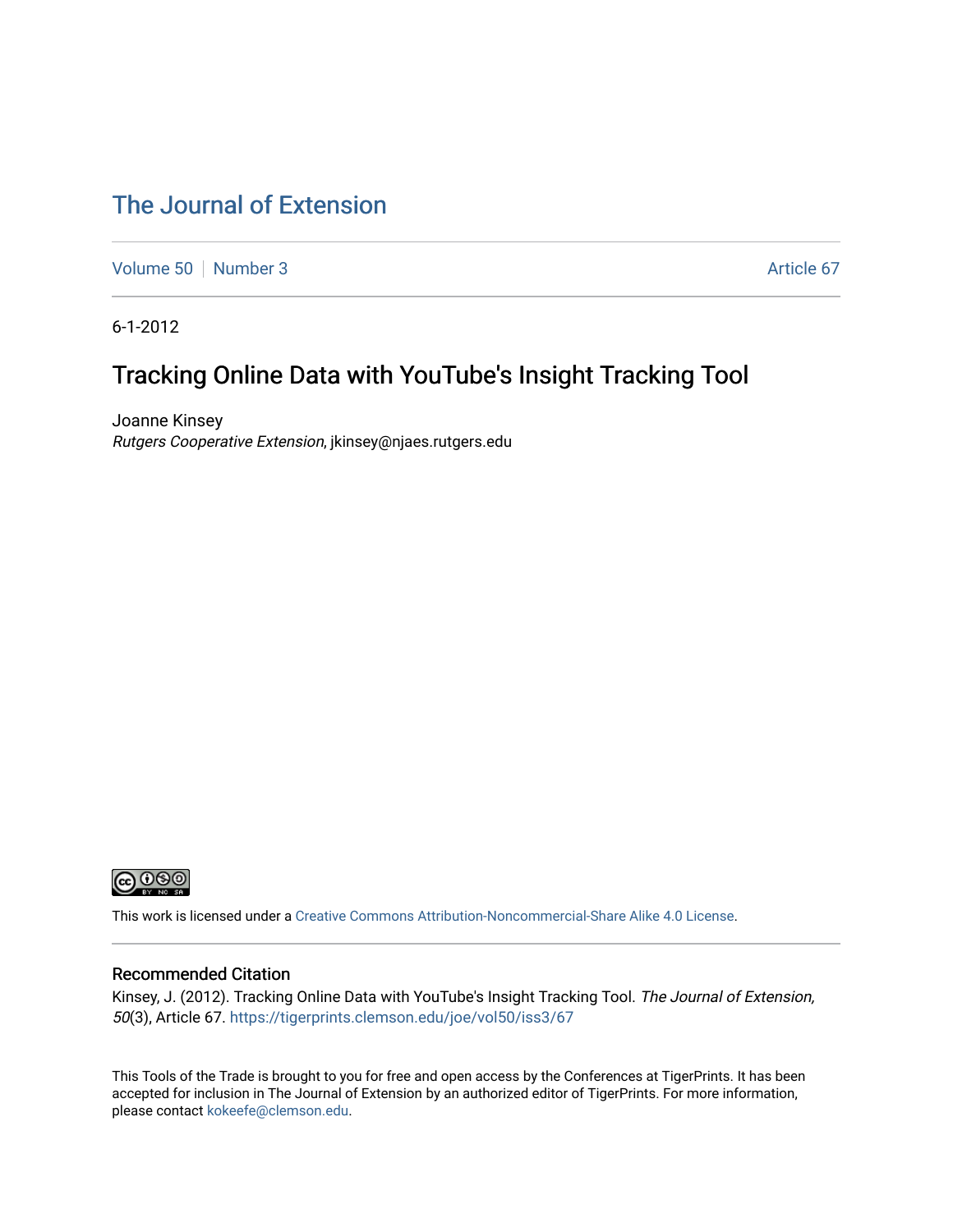# [The Journal of Extension](https://tigerprints.clemson.edu/joe)

[Volume 50](https://tigerprints.clemson.edu/joe/vol50) [Number 3](https://tigerprints.clemson.edu/joe/vol50/iss3) Article 67

6-1-2012

# Tracking Online Data with YouTube's Insight Tracking Tool

Joanne Kinsey Rutgers Cooperative Extension, jkinsey@njaes.rutgers.edu



This work is licensed under a [Creative Commons Attribution-Noncommercial-Share Alike 4.0 License.](https://creativecommons.org/licenses/by-nc-sa/4.0/)

#### Recommended Citation

Kinsey, J. (2012). Tracking Online Data with YouTube's Insight Tracking Tool. The Journal of Extension, 50(3), Article 67. <https://tigerprints.clemson.edu/joe/vol50/iss3/67>

This Tools of the Trade is brought to you for free and open access by the Conferences at TigerPrints. It has been accepted for inclusion in The Journal of Extension by an authorized editor of TigerPrints. For more information, please contact [kokeefe@clemson.edu](mailto:kokeefe@clemson.edu).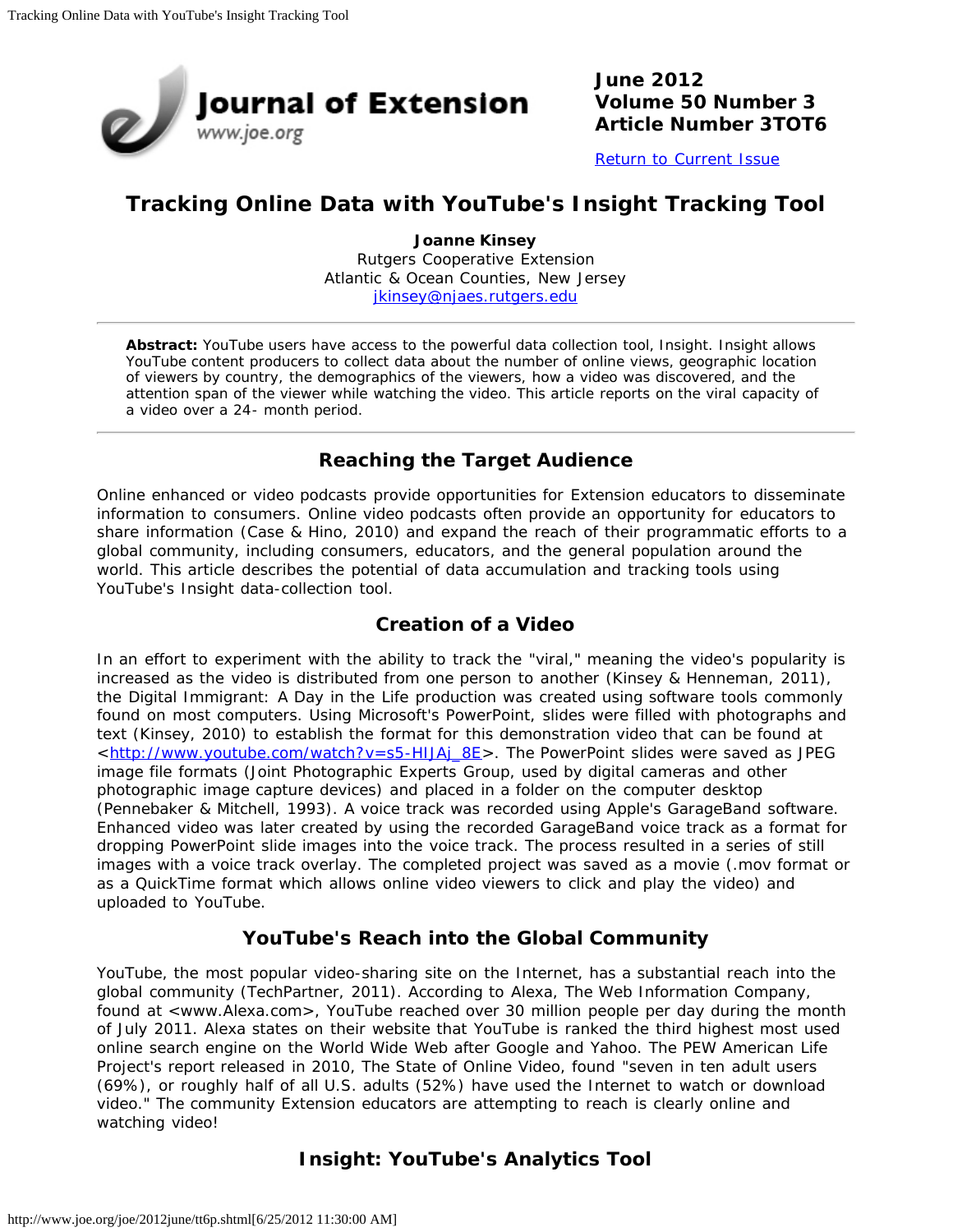

**June 2012 Volume 50 Number 3 Article Number 3TOT6**

[Return to Current Issue](http://www.joe.org/joe/2012june/)

## **Tracking Online Data with YouTube's Insight Tracking Tool**

**Joanne Kinsey** Rutgers Cooperative Extension Atlantic & Ocean Counties, New Jersey [jkinsey@njaes.rutgers.edu](mailto:jkinsey@njaes.rutgers.edu)

*Abstract: YouTube users have access to the powerful data collection tool, Insight. Insight allows YouTube content producers to collect data about the number of online views, geographic location of viewers by country, the demographics of the viewers, how a video was discovered, and the attention span of the viewer while watching the video. This article reports on the viral capacity of a video over a 24- month period.*

### **Reaching the Target Audience**

Online enhanced or video podcasts provide opportunities for Extension educators to disseminate information to consumers. Online video podcasts often provide an opportunity for educators to share information (Case & Hino, 2010) and expand the reach of their programmatic efforts to a global community, including consumers, educators, and the general population around the world. This article describes the potential of data accumulation and tracking tools using YouTube's Insight data-collection tool.

#### **Creation of a Video**

In an effort to experiment with the ability to track the "viral," meaning the video's popularity is increased as the video is distributed from one person to another (Kinsey & Henneman, 2011), the *Digital Immigrant: A Day in the Life* production was created using software tools commonly found on most computers. Using Microsoft's PowerPoint, slides were filled with photographs and text (Kinsey, 2010) to establish the format for this demonstration video that can be found at <[http://www.youtube.com/watch?v=s5-HIJAj\\_8E>](http://www.youtube.com/watch?v=s5-HIJAj_8E). The PowerPoint slides were saved as JPEG image file formats (Joint Photographic Experts Group, used by digital cameras and other photographic image capture devices) and placed in a folder on the computer desktop (Pennebaker & Mitchell, 1993). A voice track was recorded using Apple's GarageBand software. Enhanced video was later created by using the recorded GarageBand voice track as a format for dropping PowerPoint slide images into the voice track. The process resulted in a series of still images with a voice track overlay. The completed project was saved as a movie (.mov format or as a QuickTime format which allows online video viewers to click and play the video) and uploaded to YouTube.

### **YouTube's Reach into the Global Community**

YouTube, the most popular video-sharing site on the Internet, has a substantial reach into the global community (TechPartner, 2011). According to Alexa, The Web Information Company, found at <www.Alexa.com>, YouTube reached over 30 million people per day during the month of July 2011. Alexa states on their website that YouTube is ranked the third highest most used online search engine on the World Wide Web after Google and Yahoo. The PEW American Life Project's report released in 2010, The State of Online Video, found "seven in ten adult users (69%), or roughly half of all U.S. adults (52%) have used the Internet to watch or download video." The community Extension educators are attempting to reach is clearly online and watching video!

### **Insight: YouTube's Analytics Tool**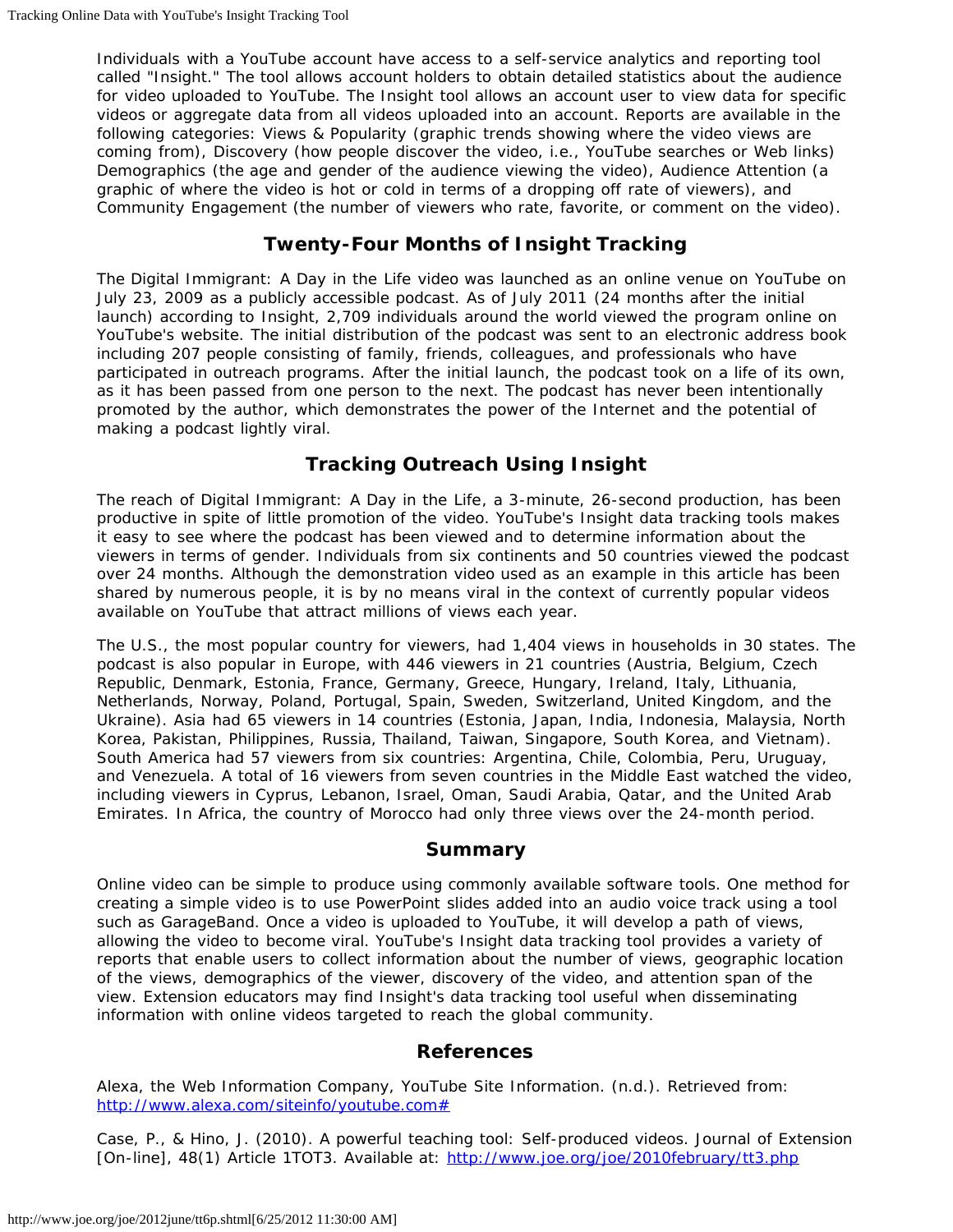Individuals with a YouTube account have access to a self-service analytics and reporting tool called "Insight." The tool allows account holders to obtain detailed statistics about the audience for video uploaded to YouTube. The Insight tool allows an account user to view data for specific videos or aggregate data from all videos uploaded into an account. Reports are available in the following categories: Views & Popularity (graphic trends showing where the video views are coming from), Discovery (how people discover the video, i.e., YouTube searches or Web links) Demographics (the age and gender of the audience viewing the video), Audience Attention (a graphic of where the video is hot or cold in terms of a dropping off rate of viewers), and Community Engagement (the number of viewers who rate, favorite, or comment on the video).

#### **Twenty-Four Months of Insight Tracking**

The *Digital Immigrant: A Day in the Life* video was launched as an online venue on YouTube on July 23, 2009 as a publicly accessible podcast. As of July 2011 (24 months after the initial launch) according to Insight, 2,709 individuals around the world viewed the program online on YouTube's website. The initial distribution of the podcast was sent to an electronic address book including 207 people consisting of family, friends, colleagues, and professionals who have participated in outreach programs. After the initial launch, the podcast took on a life of its own, as it has been passed from one person to the next. The podcast has never been intentionally promoted by the author, which demonstrates the power of the Internet and the potential of making a podcast lightly viral.

### **Tracking Outreach Using Insight**

The reach of *Digital Immigrant: A Day in the Life*, a 3-minute, 26-second production, has been productive in spite of little promotion of the video. YouTube's Insight data tracking tools makes it easy to see where the podcast has been viewed and to determine information about the viewers in terms of gender. Individuals from six continents and 50 countries viewed the podcast over 24 months. Although the demonstration video used as an example in this article has been shared by numerous people, it is by no means viral in the context of currently popular videos available on YouTube that attract millions of views each year.

The U.S., the most popular country for viewers, had 1,404 views in households in 30 states. The podcast is also popular in Europe, with 446 viewers in 21 countries (Austria, Belgium, Czech Republic, Denmark, Estonia, France, Germany, Greece, Hungary, Ireland, Italy, Lithuania, Netherlands, Norway, Poland, Portugal, Spain, Sweden, Switzerland, United Kingdom, and the Ukraine). Asia had 65 viewers in 14 countries (Estonia, Japan, India, Indonesia, Malaysia, North Korea, Pakistan, Philippines, Russia, Thailand, Taiwan, Singapore, South Korea, and Vietnam). South America had 57 viewers from six countries: Argentina, Chile, Colombia, Peru, Uruguay, and Venezuela. A total of 16 viewers from seven countries in the Middle East watched the video, including viewers in Cyprus, Lebanon, Israel, Oman, Saudi Arabia, Qatar, and the United Arab Emirates. In Africa, the country of Morocco had only three views over the 24-month period.

#### **Summary**

Online video can be simple to produce using commonly available software tools. One method for creating a simple video is to use PowerPoint slides added into an audio voice track using a tool such as GarageBand. Once a video is uploaded to YouTube, it will develop a path of views, allowing the video to become viral. YouTube's Insight data tracking tool provides a variety of reports that enable users to collect information about the number of views, geographic location of the views, demographics of the viewer, discovery of the video, and attention span of the view. Extension educators may find Insight's data tracking tool useful when disseminating information with online videos targeted to reach the global community.

#### **References**

Alexa, the Web Information Company, YouTube Site Information. (n.d.). Retrieved from: <http://www.alexa.com/siteinfo/youtube.com#>

Case, P., & Hino, J. (2010). A powerful teaching tool: Self-produced videos. *Journal of Extension* [On-line], 48(1) Article 1TOT3. Available at: <http://www.joe.org/joe/2010february/tt3.php>